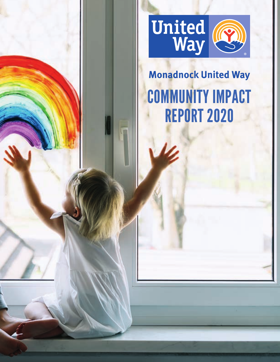

# **Monadnock United Way** COMMUNITY IMPACT REPORT 2020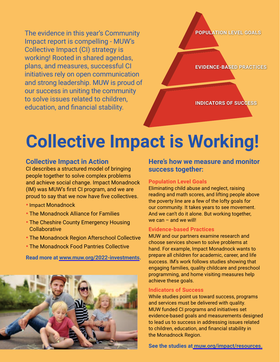The evidence in this year's Community Impact report is compelling - MUW's Collective Impact (CI) strategy is working! Rooted in shared agendas, plans, and measures, successful CI initiatives rely on open communication and strong leadership. MUW is proud of our success in uniting the community to solve issues related to children, education, and financial stability.

**POPULATION LEVEL GOALS**

**EVIDENCE-BASED PRACTICES**

**INDICATORS OF SUCCESS**

# **Collective Impact is Working!**

### **Collective Impact in Action**

CI describes a structured model of bringing people together to solve complex problems and achieve social change. Impact Monadnock (IM) was MUW's first CI program, and we are proud to say that we now have five collectives.

- •Impact Monadnock
- The Monadnock Alliance for Families
- The Cheshire County Emergency Housing **Collaborative**
- The Monadnock Region Afterschool Collective
- The Monadnock Food Pantries Collective

**Read more at www.muw.org/2022-investments.**



**Here's how we measure and monitor success together:**

#### **Population Level Goals**

Eliminating child abuse and neglect, raising reading and math scores, and lifting people above the poverty line are a few of the lofty goals for our community. It takes years to see movement. And we can't do it alone. But working together, we can  $-$  and we will!

### **Evidence-based Practices**

MUW and our partners examine research and choose services shown to solve problems at hand. For example, Impact Monadnock wants to prepare all children for academic, career, and life success. IM's work follows studies showing that engaging families, quality childcare and preschool programming, and home visiting measures help achieve these goals.

#### **Indicators of Success**

While studies point us toward success, programs and services must be delivered with quality. MUW funded CI programs and initiatives set evidence-based goals and measurements designed to lead us to success in addressing issues related to children, education, and financial stability in the Monadnock Region.

**See the studies at muw.org/impact/resources.**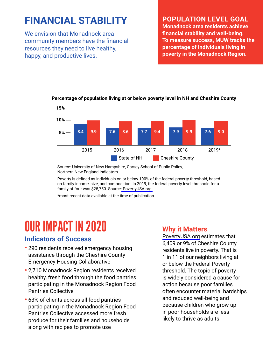### **FINANCIAL STABILITY**

We envision that Monadnock area community members have the financial resources they need to live healthy, happy, and productive lives.

### **POPULATION LEVEL GOAL**

**Monadnock area residents achieve financial stability and well-being. To measure success, MUW tracks the percentage of individuals living in poverty in the Monadnock Region.**



**Percentage of population living at or below poverty level in NH and Cheshire County**

Source: University of New Hampshire, Carsey School of Public Policy, Northern New England Indicators.

Poverty is defined as individuals on or below 100% of the federal poverty threshold, based on family income, size, and composition. In 2019, the federal poverty level threshold for a family of four was \$25,750. Source: PovertyUSA.org

\*most recent data available at the time of publication

## OUR IMPACT IN 2020

### **Indicators of Success**

- 290 residents received emergency housing assistance through the Cheshire County Emergency Housing Collaborative
- 2,710 Monadnock Region residents received healthy, fresh food through the food pantries participating in the Monadnock Region Food Pantries Collective
- 63% of clients across all food pantries participating in the Monadnock Region Food Pantries Collective accessed more fresh produce for their families and households along with recipes to promote use

### **Why it Matters**

PovertyUSA.org estimates that 6,409 or 9% of Cheshire County residents live in poverty. That is 1 in 11 of our neighbors living at or below the Federal Poverty threshold. The topic of poverty is widely considered a cause for action because poor families often encounter material hardships and reduced well-being and because children who grow up in poor households are less likely to thrive as adults.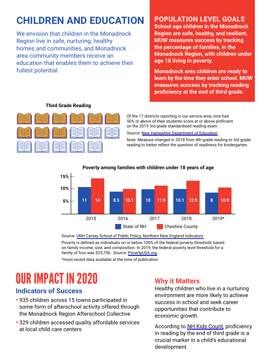### **CHILDREN AND EDUCATION**

We envision that children in the Monadnock Region live in safe, nurturing, healthy homes and communities, and Monadnock area community members receive an education that enables them to achieve their fullest potential.

### **POPULATION LEVEL GOALS**

**School age children in the Monadnock Region are safe, healthy, and resilient. MUW measures success by tracking the percentage of families, in the Monadnock Region, with children under age 18 living in poverty.** 

**Monadnock area children are ready to learn by the time they enter school. MUW measures success by tracking reading proficiency at the end of third grade.**



### **Third Grade Reading**

Of the 17 districts reporting in our service area, nine had 50% or above of their students score at or above proficient on the 2019 3rd grade standardized reading exam.

Source: New Hampshire Department of Education

Note: Measure changed in 2018 from 4th grade reading to 3rd grade reading to better reflect the question of readiness for kindergarten.



#### **Poverty among families with children under 18 years of age**

Source: UNH Carsey School of Public Policy, Northern New England Indicators

Poverty is defined as individuals on or below 100% of the federal poverty threshold, based on family income, size, and composition. In 2019, the federal poverty level threshold for a family of four was \$25,750. Source: PovertyUSA.org

\*most recent data available at the time of publication

## OUR IMPACT IN 2020

### **Indicators of Success**

- 935 children across 15 towns participated in some form of afterschool activity offered through the Monadnock Region Afterschool Collective
- 329 children accessed quality affordable services at local child care centers

### **Why it Matters**

Healthy children who live in a nurturing environment are more likely to achieve success in school and seek career opportunities that contribute to economic growth.

According to NH Kids Count, proficiency in reading by the end of third grade is a crucial marker in a child's educational development.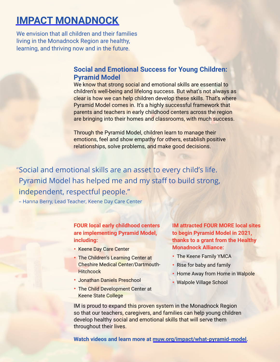### **IMPACT MONADNOCK**

We envision that all children and their families living in the Monadnock Region are healthy, learning, and thriving now and in the future.

### **Social and Emotional Success for Young Children: Pyramid Model**

We know that strong social and emotional skills are essential to children's well-being and lifelong success. But what's not always as clear is how we can help children develop these skills. That's where Pyramid Model comes in. It's a highly successful framework that parents and teachers in early childhood centers across the region are bringing into their homes and classrooms, with much success.

Through the Pyramid Model, children learn to manage their emotions, feel and show empathy for others, establish positive relationships, solve problems, and make good decisions.

Social and emotional skills are an asset to every child's life. " Pyramid Model has helped me and my staff to build strong, independent, respectful people."

– Hanna Berry, Lead Teacher, Keene Day Care Center

### **FOUR local early childhood centers are implementing Pyramid Model, including:**

- Keene Day Care Center
- The Children's Learning Center at Cheshire Medical Center/Dartmouth-**Hitchcock**
- Jonathan Daniels Preschool
- The Child Development Center at Keene State College

**IM attracted FOUR MORE local sites to begin Pyramid Model in 2021, thanks to a grant from the Healthy Monadnock Alliance:**

- The Keene Family YMCA
- Rise for baby and family
- Home Away from Home in Walpole
- Walpole Village School

IM is proud to expand this proven system in the Monadnock Region so that our teachers, caregivers, and families can help young children develop healthy social and emotional skills that will serve them throughout their lives.

**Watch videos and learn more at muw.org/impact/what-pyramid-model.**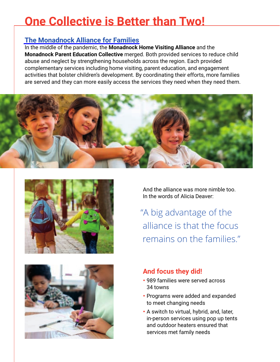## **One Collective is Better than Two!**

### **The Monadnock Alliance for Families**

In the middle of the pandemic, the **Monadnock Home Visiting Alliance** and the **Monadnock Parent Education Collective** merged. Both provided services to reduce child abuse and neglect by strengthening households across the region. Each provided complementary services including home visiting, parent education, and engagement activities that bolster children's development. By coordinating their efforts, more families are served and they can more easily access the services they need when they need them.







And the alliance was more nimble too. In the words of Alicia Deaver:

"A big advantage of the alliance is that the focus remains on the families."

### **And focus they did!**

- 989 families were served across 34 towns
- Programs were added and expanded to meet changing needs
- A switch to virtual, hybrid, and, later, in-person services using pop up tents and outdoor heaters ensured that services met family needs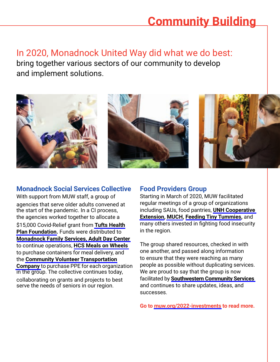## **Community Building**

In 2020, Monadnock United Way did what we do best: bring together various sectors of our community to develop and implement solutions.



### **Monadnock Social Services Collective**

With support from MUW staff, a group of agencies that serve older adults convened at the start of the pandemic. In a CI process, the agencies worked together to allocate a \$15,000 Covid-Relief grant from **Tufts Health Plan Foundation.** Funds were distributed to **Monadnock Family Services, Adult Day Center** to continue operations, **HCS Meals on Wheels** to purchase containers for meal delivery, and the **Community Volunteer Transportation Company** to purchase PPE for each organization in the group. The collective continues today,

collaborating on grants and projects to best serve the needs of seniors in our region.

### **Food Providers Group**

Starting in March of 2020, MUW facilitated regular meetings of a group of organizations including SAUs, food pantries, **UNH Cooperative Extension, MUCH, Feeding Tiny Tummies,** and many others invested in fighting food insecurity in the region.

The group shared resources, checked in with one another, and passed along information to ensure that they were reaching as many people as possible without duplicating services. We are proud to say that the group is now facilitated by **Southwestern Community Services** and continues to share updates, ideas, and successes.

**Go to muw.org/2022-investments to read more.**